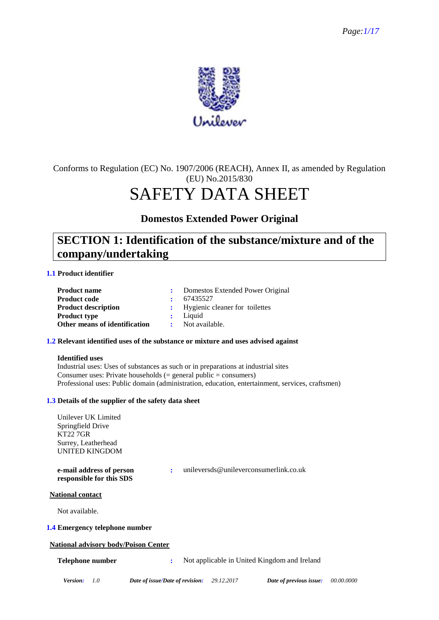

### Conforms to Regulation (EC) No. 1907/2006 (REACH), Annex II, as amended by Regulation (EU) No.2015/830

# SAFETY DATA SHEET

**Domestos Extended Power Original**

### **SECTION 1: Identification of the substance/mixture and of the company/undertaking**

### **1.1 Product identifier**

| <b>Product name</b>           | : Domestos Extended Power Original |
|-------------------------------|------------------------------------|
| <b>Product code</b>           | $\cdot$ 67435527                   |
| <b>Product description</b>    | : Hygienic cleaner for toilettes   |
| <b>Product type</b>           | $:$ Liquid                         |
| Other means of identification | : Not available.                   |

### **1.2 Relevant identified uses of the substance or mixture and uses advised against**

### **Identified uses**

Industrial uses: Uses of substances as such or in preparations at industrial sites Consumer uses: Private households  $(=$  general public  $=$  consumers) Professional uses: Public domain (administration, education, entertainment, services, craftsmen)

### **1.3 Details of the supplier of the safety data sheet**

Unilever UK Limited Springfield Drive KT22 7GR Surrey, Leatherhead UNITED KINGDOM **e-mail address of person responsible for this SDS :** unileversds@unileverconsumerlink.co.uk **National contact** Not available. **1.4 Emergency telephone number National advisory body/Poison Center Telephone number :** Not applicable in United Kingdom and Ireland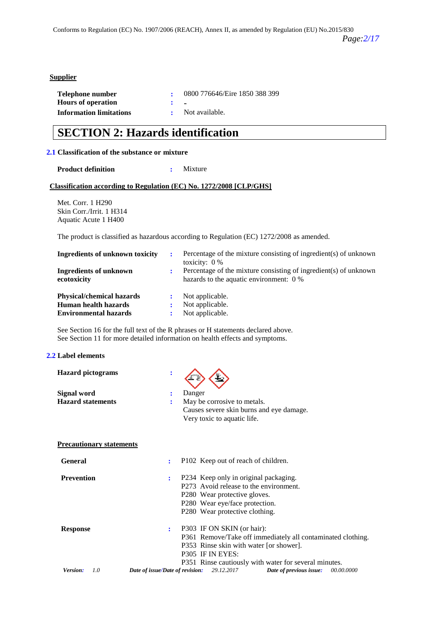### **Supplier**

| Telephone number               |                | 0800 776646/Eire 1850 388 399 |
|--------------------------------|----------------|-------------------------------|
| <b>Hours of operation</b>      | $\mathbf{r}$ . |                               |
| <b>Information limitations</b> |                | : Not available.              |

### **SECTION 2: Hazards identification**

#### **2.1 Classification of the substance or mixture**

**Product definition :** Mixture

#### **Classification according to Regulation (EC) No. 1272/2008 [CLP/GHS]**

Met. Corr. 1 H290 Skin Corr./Irrit. 1 H314 Aquatic Acute 1 H400

The product is classified as hazardous according to Regulation (EC) 1272/2008 as amended.

| Ingredients of unknown toxicity              | ÷ | Percentage of the mixture consisting of ingredient(s) of unknown<br>toxicity: $0\%$                         |
|----------------------------------------------|---|-------------------------------------------------------------------------------------------------------------|
| <b>Ingredients of unknown</b><br>ecotoxicity |   | Percentage of the mixture consisting of ingredient(s) of unknown<br>hazards to the aquatic environment: 0 % |
| <b>Physical/chemical hazards</b>             |   | Not applicable.                                                                                             |
| Human health hazards                         | ÷ | Not applicable.                                                                                             |
| <b>Environmental hazards</b>                 | ÷ | Not applicable.                                                                                             |

See Section 16 for the full text of the R phrases or H statements declared above. See Section 11 for more detailed information on health effects and symptoms.

#### **2.2 Label elements**

| <b>Hazard pictograms</b>        |                                                                          |            |
|---------------------------------|--------------------------------------------------------------------------|------------|
| Signal word                     | Danger<br>÷                                                              |            |
| <b>Hazard statements</b>        | May be corrosive to metals.<br>Causes severe skin burns and eye damage.  |            |
|                                 | Very toxic to aquatic life.                                              |            |
| <b>Precautionary statements</b> |                                                                          |            |
| <b>General</b>                  | P102 Keep out of reach of children.<br>÷                                 |            |
| <b>Prevention</b>               | P234 Keep only in original packaging.<br>$\ddot{\cdot}$                  |            |
|                                 | P273 Avoid release to the environment.                                   |            |
|                                 | P280 Wear protective gloves.                                             |            |
|                                 | P280 Wear eye/face protection.                                           |            |
|                                 | P280 Wear protective clothing.                                           |            |
| <b>Response</b>                 | P303 IF ON SKIN (or hair):<br>$\ddot{\phantom{a}}$                       |            |
|                                 | P361 Remove/Take off immediately all contaminated clothing.              |            |
|                                 | P353 Rinse skin with water [or shower].                                  |            |
|                                 | P305 IF IN EYES:                                                         |            |
|                                 | P351 Rinse cautiously with water for several minutes.                    |            |
| Version:<br>1.0                 | 29.12.2017<br>Date of issue/Date of revision:<br>Date of previous issue: | 00.00.0000 |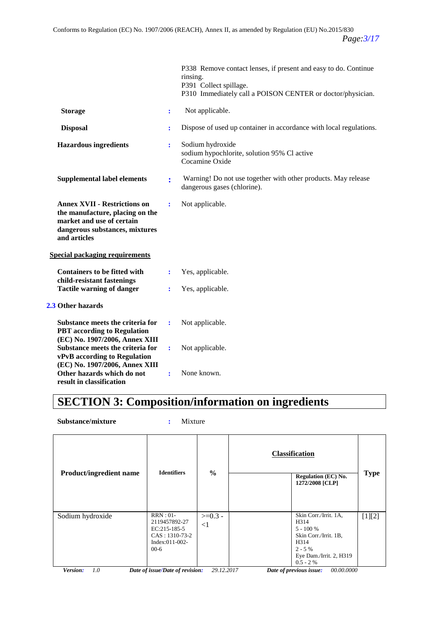|                                                                                                                                                       |                | P338 Remove contact lenses, if present and easy to do. Continue<br>rinsing.<br>P391 Collect spillage.<br>P310 Immediately call a POISON CENTER or doctor/physician. |
|-------------------------------------------------------------------------------------------------------------------------------------------------------|----------------|---------------------------------------------------------------------------------------------------------------------------------------------------------------------|
| <b>Storage</b>                                                                                                                                        | $\ddot{\cdot}$ | Not applicable.                                                                                                                                                     |
| <b>Disposal</b>                                                                                                                                       | ÷              | Dispose of used up container in accordance with local regulations.                                                                                                  |
| <b>Hazardous ingredients</b>                                                                                                                          | ÷              | Sodium hydroxide<br>sodium hypochlorite, solution 95% Cl active<br>Cocamine Oxide                                                                                   |
| <b>Supplemental label elements</b>                                                                                                                    | $\ddot{\cdot}$ | Warning! Do not use together with other products. May release<br>dangerous gases (chlorine).                                                                        |
| <b>Annex XVII - Restrictions on</b><br>the manufacture, placing on the<br>market and use of certain<br>dangerous substances, mixtures<br>and articles | $\ddot{\cdot}$ | Not applicable.                                                                                                                                                     |
| <b>Special packaging requirements</b>                                                                                                                 |                |                                                                                                                                                                     |
| <b>Containers to be fitted with</b><br>child-resistant fastenings                                                                                     | ÷              | Yes, applicable.                                                                                                                                                    |
| <b>Tactile warning of danger</b>                                                                                                                      | ÷              | Yes, applicable.                                                                                                                                                    |
| 2.3 Other hazards                                                                                                                                     |                |                                                                                                                                                                     |
| Substance meets the criteria for<br><b>PBT</b> according to Regulation                                                                                | ÷              | Not applicable.                                                                                                                                                     |
| (EC) No. 1907/2006, Annex XIII<br>Substance meets the criteria for<br>vPvB according to Regulation                                                    | ÷              | Not applicable.                                                                                                                                                     |
| (EC) No. 1907/2006, Annex XIII<br>Other hazards which do not<br>result in classification                                                              | ÷              | None known.                                                                                                                                                         |

# **SECTION 3: Composition/information on ingredients**

**Substance/mixture :** Mixture

|                                                                                                                                                                                                                                                           | <b>Regulation (EC) No.</b><br>1272/2008 [CLP] |
|-----------------------------------------------------------------------------------------------------------------------------------------------------------------------------------------------------------------------------------------------------------|-----------------------------------------------|
| $RRN:01-$<br>Skin Corr./Irrit. 1A,<br>Sodium hydroxide<br>$>=0.3 -$<br>2119457892-27<br>H314<br>$\leq$ 1<br>$EC:215-185-5$<br>$5 - 100 %$<br>$CAS: 1310-73-2$<br>Skin Corr./Irrit. 1B,<br>$Index:011-002-$<br>H314<br>$00-6$<br>$2 - 5\%$<br>$0.5 - 2 \%$ | [1][2]<br>Eye Dam./Irrit. 2, H319             |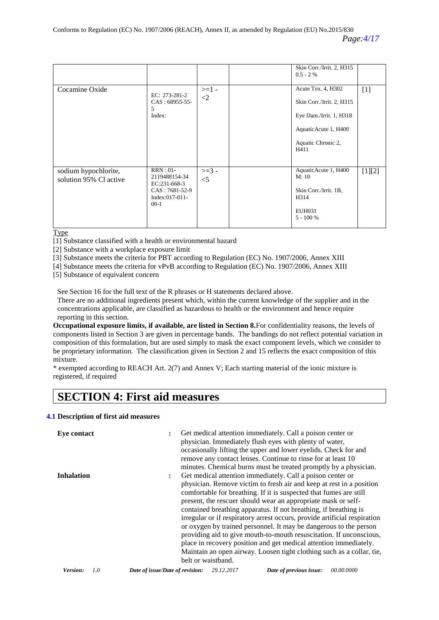|                                                |                                                                                            |                               | Skin Corr./Irrit. 2, H315<br>$0.5 - 2 \%$                                                                                        |          |
|------------------------------------------------|--------------------------------------------------------------------------------------------|-------------------------------|----------------------------------------------------------------------------------------------------------------------------------|----------|
| Cocamine Oxide                                 | EC: 273-281-2<br>$CAS: 68955-55-$<br>5<br>Index:                                           | $>=1-$<br>$\langle 2 \rangle$ | Acute Tox. 4, H302<br>Skin Corr./Irrit. 2, H315<br>Eye Dam./Irrit. 1, H318<br>AquaticAcute 1, H400<br>Aquatic Chronic 2,<br>H411 | $[1]$    |
| sodium hypochlorite,<br>solution 95% Cl active | $RRN:01-$<br>2119488154-34<br>EC:231-668-3<br>$CAS: 7681-52-9$<br>Index:017-011-<br>$00-1$ | $>=$ 3 -<br>$<$ 5             | AquaticAcute 1, H400<br>M:10<br>Skin Corr./Irrit. 1B.<br>H314<br>EUH031<br>$5 - 100 %$                                           | $[1][2]$ |

**Type** 

[1] Substance classified with a health or environmental hazard

[2] Substance with a workplace exposure limit

[3] Substance meets the criteria for PBT according to Regulation (EC) No. 1907/2006, Annex XIII

[4] Substance meets the criteria for vPvB according to Regulation (EC) No. 1907/2006, Annex XIII

[5] Substance of equivalent concern

See Section 16 for the full text of the R phrases or H statements declared above.

There are no additional ingredients present which, within the current knowledge of the supplier and in the concentrations applicable, are classified as hazardous to health or the environment and hence require reporting in this section.

**Occupational exposure limits, if available, are listed in Section 8.**For confidentiality reasons, the levels of components listed in Section 3 are given in percentage bands. The bandings do not reflect potential variation in composition of this formulation, but are used simply to mask the exact component levels, which we consider to be proprietary information. The classification given in Section 2 and 15 reflects the exact composition of this mixture.

\* exempted according to REACH Art. 2(7) and Annex V; Each starting material of the ionic mixture is registered, if required

### **SECTION 4: First aid measures**

### **4.1 Description of first aid measures**

| Eve contact       | ÷                    | Get medical attention immediately. Call a poison center or<br>physician. Immediately flush eyes with plenty of water,<br>occasionally lifting the upper and lower eyelids. Check for and<br>remove any contact lenses. Continue to rinse for at least 10<br>minutes. Chemical burns must be treated promptly by a physician.                                                                                                                                                                                                                                                                                                                                                                                                               |
|-------------------|----------------------|--------------------------------------------------------------------------------------------------------------------------------------------------------------------------------------------------------------------------------------------------------------------------------------------------------------------------------------------------------------------------------------------------------------------------------------------------------------------------------------------------------------------------------------------------------------------------------------------------------------------------------------------------------------------------------------------------------------------------------------------|
| <b>Inhalation</b> | $\ddot{\phantom{a}}$ | Get medical attention immediately. Call a poison center or<br>physician. Remove victim to fresh air and keep at rest in a position<br>comfortable for breathing. If it is suspected that fumes are still<br>present, the rescuer should wear an appropriate mask or self-<br>contained breathing apparatus. If not breathing, if breathing is<br>irregular or if respiratory arrest occurs, provide artificial respiration<br>or oxygen by trained personnel. It may be dangerous to the person<br>providing aid to give mouth-to-mouth resuscitation. If unconscious,<br>place in recovery position and get medical attention immediately.<br>Maintain an open airway. Loosen tight clothing such as a collar, tie,<br>belt or waistband. |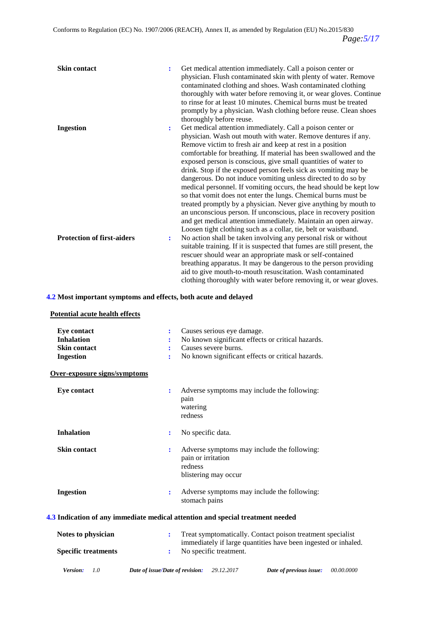| <b>Skin contact</b>               | $\ddot{\cdot}$ | Get medical attention immediately. Call a poison center or<br>physician. Flush contaminated skin with plenty of water. Remove<br>contaminated clothing and shoes. Wash contaminated clothing<br>thoroughly with water before removing it, or wear gloves. Continue<br>to rinse for at least 10 minutes. Chemical burns must be treated<br>promptly by a physician. Wash clothing before reuse. Clean shoes<br>thoroughly before reuse.                                                                                                                                                                                                                                                                                                                                                                                                                                                     |
|-----------------------------------|----------------|--------------------------------------------------------------------------------------------------------------------------------------------------------------------------------------------------------------------------------------------------------------------------------------------------------------------------------------------------------------------------------------------------------------------------------------------------------------------------------------------------------------------------------------------------------------------------------------------------------------------------------------------------------------------------------------------------------------------------------------------------------------------------------------------------------------------------------------------------------------------------------------------|
| <b>Ingestion</b>                  | ÷              | Get medical attention immediately. Call a poison center or<br>physician. Wash out mouth with water. Remove dentures if any.<br>Remove victim to fresh air and keep at rest in a position<br>comfortable for breathing. If material has been swallowed and the<br>exposed person is conscious, give small quantities of water to<br>drink. Stop if the exposed person feels sick as vomiting may be<br>dangerous. Do not induce vomiting unless directed to do so by<br>medical personnel. If vomiting occurs, the head should be kept low<br>so that vomit does not enter the lungs. Chemical burns must be<br>treated promptly by a physician. Never give anything by mouth to<br>an unconscious person. If unconscious, place in recovery position<br>and get medical attention immediately. Maintain an open airway.<br>Loosen tight clothing such as a collar, tie, belt or waistband. |
| <b>Protection of first-aiders</b> | $\ddot{\cdot}$ | No action shall be taken involving any personal risk or without<br>suitable training. If it is suspected that fumes are still present, the<br>rescuer should wear an appropriate mask or self-contained<br>breathing apparatus. It may be dangerous to the person providing<br>aid to give mouth-to-mouth resuscitation. Wash contaminated<br>clothing thoroughly with water before removing it, or wear gloves.                                                                                                                                                                                                                                                                                                                                                                                                                                                                           |

### **4.2 Most important symptoms and effects, both acute and delayed**

### **Potential acute health effects**

| <b>Eye contact</b><br><b>Inhalation</b><br><b>Skin contact</b><br><b>Ingestion</b> | Causes serious eye damage.<br>÷<br>No known significant effects or critical hazards.<br>Causes severe burns.<br>÷<br>No known significant effects or critical hazards.<br>÷ |
|------------------------------------------------------------------------------------|-----------------------------------------------------------------------------------------------------------------------------------------------------------------------------|
| Over-exposure signs/symptoms                                                       |                                                                                                                                                                             |
| <b>Eye contact</b>                                                                 | Adverse symptoms may include the following:<br>÷<br>pain<br>watering<br>redness                                                                                             |
| <b>Inhalation</b>                                                                  | No specific data.<br>:                                                                                                                                                      |
| <b>Skin contact</b>                                                                | Adverse symptoms may include the following:<br>÷<br>pain or irritation<br>redness<br>blistering may occur                                                                   |
| <b>Ingestion</b>                                                                   | Adverse symptoms may include the following:<br>÷<br>stomach pains                                                                                                           |
|                                                                                    | 4.3 Indication of any immediate medical attention and special treatment needed                                                                                              |
| Notes to physician                                                                 | Treat symptomatically. Contact poison treatment specialist<br>÷<br>immediately if large quantities have been ingested or inhaled.                                           |
| <b>Specific treatments</b>                                                         | No specific treatment.<br>÷                                                                                                                                                 |
| Version:<br>1.0                                                                    | 29.12.2017<br>Date of issue/Date of revision:<br>Date of previous issue:<br><i>00.00.0000</i>                                                                               |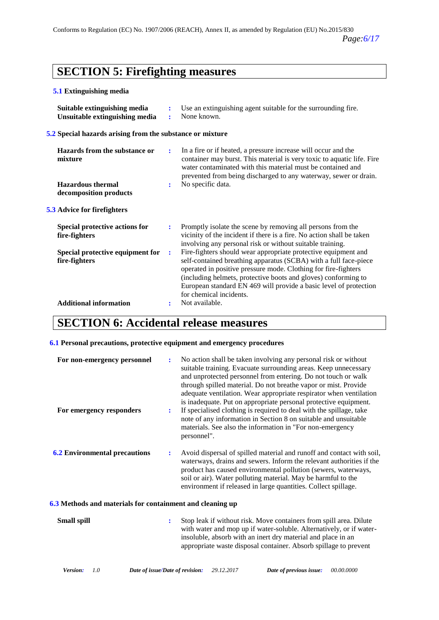# **SECTION 5: Firefighting measures**

### **5.1 Extinguishing media**

| Suitable extinguishing media<br>Unsuitable extinguishing media | ÷<br>÷         | Use an extinguishing agent suitable for the surrounding fire.<br>None known.                                                                                                                                                                                                                                                                                           |
|----------------------------------------------------------------|----------------|------------------------------------------------------------------------------------------------------------------------------------------------------------------------------------------------------------------------------------------------------------------------------------------------------------------------------------------------------------------------|
| 5.2 Special hazards arising from the substance or mixture      |                |                                                                                                                                                                                                                                                                                                                                                                        |
| Hazards from the substance or<br>mixture                       | ÷              | In a fire or if heated, a pressure increase will occur and the<br>container may burst. This material is very toxic to aquatic life. Fire<br>water contaminated with this material must be contained and<br>prevented from being discharged to any waterway, sewer or drain.                                                                                            |
| <b>Hazardous</b> thermal<br>decomposition products             | $\ddot{\cdot}$ | No specific data.                                                                                                                                                                                                                                                                                                                                                      |
| 5.3 Advice for firefighters                                    |                |                                                                                                                                                                                                                                                                                                                                                                        |
| Special protective actions for<br>fire-fighters                | ÷              | Promptly isolate the scene by removing all persons from the<br>vicinity of the incident if there is a fire. No action shall be taken<br>involving any personal risk or without suitable training.                                                                                                                                                                      |
| Special protective equipment for<br>fire-fighters              | ÷              | Fire-fighters should wear appropriate protective equipment and<br>self-contained breathing apparatus (SCBA) with a full face-piece<br>operated in positive pressure mode. Clothing for fire-fighters<br>(including helmets, protective boots and gloves) conforming to<br>European standard EN 469 will provide a basic level of protection<br>for chemical incidents. |
| <b>Additional information</b>                                  | $\ddot{\cdot}$ | Not available.                                                                                                                                                                                                                                                                                                                                                         |

### **SECTION 6: Accidental release measures**

### **6.1 Personal precautions, protective equipment and emergency procedures**

| For non-emergency personnel<br>For emergency responders   | ÷<br>$\ddot{\phantom{a}}$ | No action shall be taken involving any personal risk or without<br>suitable training. Evacuate surrounding areas. Keep unnecessary<br>and unprotected personnel from entering. Do not touch or walk<br>through spilled material. Do not breathe vapor or mist. Provide<br>adequate ventilation. Wear appropriate respirator when ventilation<br>is inadequate. Put on appropriate personal protective equipment.<br>If specialised clothing is required to deal with the spillage, take<br>note of any information in Section 8 on suitable and unsuitable<br>materials. See also the information in "For non-emergency<br>personnel". |
|-----------------------------------------------------------|---------------------------|----------------------------------------------------------------------------------------------------------------------------------------------------------------------------------------------------------------------------------------------------------------------------------------------------------------------------------------------------------------------------------------------------------------------------------------------------------------------------------------------------------------------------------------------------------------------------------------------------------------------------------------|
| <b>6.2 Environmental precautions</b>                      |                           | Avoid dispersal of spilled material and runoff and contact with soil,<br>waterways, drains and sewers. Inform the relevant authorities if the<br>product has caused environmental pollution (sewers, waterways,<br>soil or air). Water polluting material. May be harmful to the<br>environment if released in large quantities. Collect spillage.                                                                                                                                                                                                                                                                                     |
| 6.3 Methods and materials for containment and cleaning up |                           |                                                                                                                                                                                                                                                                                                                                                                                                                                                                                                                                                                                                                                        |
| <b>Small spill</b>                                        | ÷                         | Stop leak if without risk. Move containers from spill area. Dilute<br>with water and mop up if water-soluble. Alternatively, or if water-<br>insoluble, absorb with an inert dry material and place in an<br>appropriate waste disposal container. Absorb spillage to prevent                                                                                                                                                                                                                                                                                                                                                          |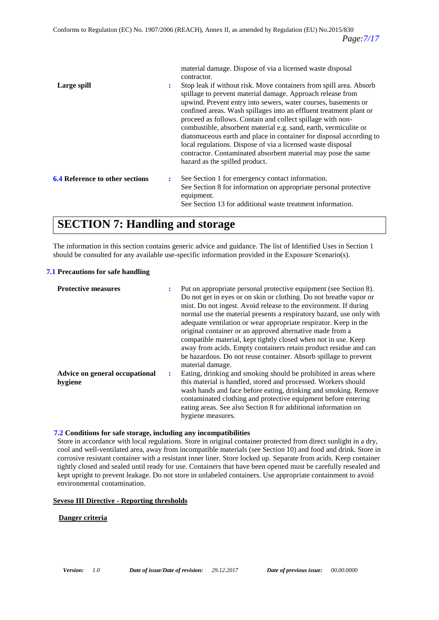material damage. Dispose of via a licensed waste disposal contractor.

| Large spill                            | ÷ | Stop leak if without risk. Move containers from spill area. Absorb<br>spillage to prevent material damage. Approach release from<br>upwind. Prevent entry into sewers, water courses, basements or<br>confined areas. Wash spillages into an effluent treatment plant or<br>proceed as follows. Contain and collect spillage with non-<br>combustible, absorbent material e.g. sand, earth, vermiculite or<br>diatomaceous earth and place in container for disposal according to<br>local regulations. Dispose of via a licensed waste disposal<br>contractor. Contaminated absorbent material may pose the same<br>hazard as the spilled product. |
|----------------------------------------|---|-----------------------------------------------------------------------------------------------------------------------------------------------------------------------------------------------------------------------------------------------------------------------------------------------------------------------------------------------------------------------------------------------------------------------------------------------------------------------------------------------------------------------------------------------------------------------------------------------------------------------------------------------------|
| <b>6.4 Reference to other sections</b> | ÷ | See Section 1 for emergency contact information.<br>See Section 8 for information on appropriate personal protective<br>equipment.<br>See Section 13 for additional waste treatment information.                                                                                                                                                                                                                                                                                                                                                                                                                                                    |

### **SECTION 7: Handling and storage**

The information in this section contains generic advice and guidance. The list of Identified Uses in Section 1 should be consulted for any available use-specific information provided in the Exposure Scenario(s).

### **7.1 Precautions for safe handling**

| <b>Protective measures</b>                | : | Put on appropriate personal protective equipment (see Section 8).<br>Do not get in eyes or on skin or clothing. Do not breathe vapor or<br>mist. Do not ingest. Avoid release to the environment. If during<br>normal use the material presents a respiratory hazard, use only with<br>adequate ventilation or wear appropriate respirator. Keep in the<br>original container or an approved alternative made from a<br>compatible material, kept tightly closed when not in use. Keep<br>away from acids. Empty containers retain product residue and can<br>be hazardous. Do not reuse container. Absorb spillage to prevent<br>material damage. |
|-------------------------------------------|---|----------------------------------------------------------------------------------------------------------------------------------------------------------------------------------------------------------------------------------------------------------------------------------------------------------------------------------------------------------------------------------------------------------------------------------------------------------------------------------------------------------------------------------------------------------------------------------------------------------------------------------------------------|
| Advice on general occupational<br>hygiene | ÷ | Eating, drinking and smoking should be prohibited in areas where<br>this material is handled, stored and processed. Workers should<br>wash hands and face before eating, drinking and smoking. Remove<br>contaminated clothing and protective equipment before entering<br>eating areas. See also Section 8 for additional information on<br>hygiene measures.                                                                                                                                                                                                                                                                                     |

### **7.2 Conditions for safe storage, including any incompatibilities**

Store in accordance with local regulations. Store in original container protected from direct sunlight in a dry, cool and well-ventilated area, away from incompatible materials (see Section 10) and food and drink. Store in corrosive resistant container with a resistant inner liner. Store locked up. Separate from acids. Keep container tightly closed and sealed until ready for use. Containers that have been opened must be carefully resealed and kept upright to prevent leakage. Do not store in unlabeled containers. Use appropriate containment to avoid environmental contamination.

### **Seveso III Directive - Reporting thresholds**

### **Danger criteria**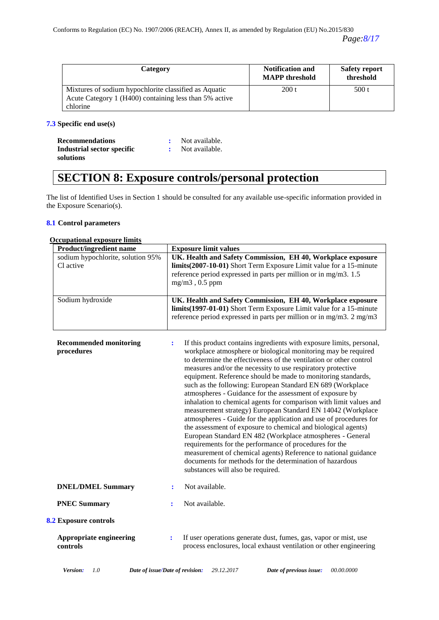| Category                                                                                                        | <b>Notification and</b><br><b>MAPP</b> threshold | <b>Safety report</b><br>threshold |
|-----------------------------------------------------------------------------------------------------------------|--------------------------------------------------|-----------------------------------|
| Mixtures of sodium hypochlorite classified as Aquatic<br>Acute Category 1 (H400) containing less than 5% active | 200 t                                            | 500t                              |
| chlorine                                                                                                        |                                                  |                                   |

### **7.3 Specific end use(s)**

| <b>Recommendations</b>     | : Not available. |
|----------------------------|------------------|
| Industrial sector specific | : Not available. |
| solutions                  |                  |

# **SECTION 8: Exposure controls/personal protection**

The list of Identified Uses in Section 1 should be consulted for any available use-specific information provided in the Exposure Scenario(s).

### **8.1 Control parameters**

| <b>Occupational exposure limits</b>            |                                                                                                                                                                                                                                                                                                                                                                                                                                                                                                                                                                                                                                                                                                                                                                                                                                                                                                                                                                                                                                                |
|------------------------------------------------|------------------------------------------------------------------------------------------------------------------------------------------------------------------------------------------------------------------------------------------------------------------------------------------------------------------------------------------------------------------------------------------------------------------------------------------------------------------------------------------------------------------------------------------------------------------------------------------------------------------------------------------------------------------------------------------------------------------------------------------------------------------------------------------------------------------------------------------------------------------------------------------------------------------------------------------------------------------------------------------------------------------------------------------------|
| <b>Product/ingredient name</b>                 | <b>Exposure limit values</b>                                                                                                                                                                                                                                                                                                                                                                                                                                                                                                                                                                                                                                                                                                                                                                                                                                                                                                                                                                                                                   |
| sodium hypochlorite, solution 95%<br>Cl active | UK. Health and Safety Commission, EH 40, Workplace exposure<br>limits(2007-10-01) Short Term Exposure Limit value for a 15-minute<br>reference period expressed in parts per million or in mg/m3. 1.5<br>$mg/m3$ , 0.5 ppm                                                                                                                                                                                                                                                                                                                                                                                                                                                                                                                                                                                                                                                                                                                                                                                                                     |
| Sodium hydroxide                               | UK. Health and Safety Commission, EH 40, Workplace exposure<br>limits(1997-01-01) Short Term Exposure Limit value for a 15-minute<br>reference period expressed in parts per million or in mg/m3. 2 mg/m3                                                                                                                                                                                                                                                                                                                                                                                                                                                                                                                                                                                                                                                                                                                                                                                                                                      |
| <b>Recommended monitoring</b><br>procedures    | If this product contains ingredients with exposure limits, personal,<br>÷<br>workplace atmosphere or biological monitoring may be required<br>to determine the effectiveness of the ventilation or other control<br>measures and/or the necessity to use respiratory protective<br>equipment. Reference should be made to monitoring standards,<br>such as the following: European Standard EN 689 (Workplace<br>atmospheres - Guidance for the assessment of exposure by<br>inhalation to chemical agents for comparison with limit values and<br>measurement strategy) European Standard EN 14042 (Workplace<br>atmospheres - Guide for the application and use of procedures for<br>the assessment of exposure to chemical and biological agents)<br>European Standard EN 482 (Workplace atmospheres - General<br>requirements for the performance of procedures for the<br>measurement of chemical agents) Reference to national guidance<br>documents for methods for the determination of hazardous<br>substances will also be required. |
| <b>DNEL/DMEL Summary</b>                       | Not available.<br>÷                                                                                                                                                                                                                                                                                                                                                                                                                                                                                                                                                                                                                                                                                                                                                                                                                                                                                                                                                                                                                            |
| <b>PNEC Summary</b>                            | Not available.<br>÷                                                                                                                                                                                                                                                                                                                                                                                                                                                                                                                                                                                                                                                                                                                                                                                                                                                                                                                                                                                                                            |
| 8.2 Exposure controls                          |                                                                                                                                                                                                                                                                                                                                                                                                                                                                                                                                                                                                                                                                                                                                                                                                                                                                                                                                                                                                                                                |
| <b>Appropriate engineering</b><br>controls     | If user operations generate dust, fumes, gas, vapor or mist, use<br>÷<br>process enclosures, local exhaust ventilation or other engineering                                                                                                                                                                                                                                                                                                                                                                                                                                                                                                                                                                                                                                                                                                                                                                                                                                                                                                    |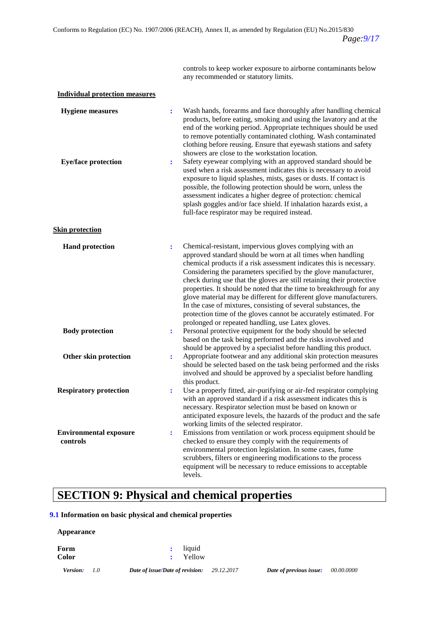controls to keep worker exposure to airborne contaminants below any recommended or statutory limits.

| <b>Individual protection measures</b> |  |  |
|---------------------------------------|--|--|
|                                       |  |  |

| <b>Hygiene</b> measures<br><b>Eye/face protection</b> | Wash hands, forearms and face thoroughly after handling chemical<br>$\ddot{\cdot}$<br>products, before eating, smoking and using the lavatory and at the<br>end of the working period. Appropriate techniques should be used<br>to remove potentially contaminated clothing. Wash contaminated<br>clothing before reusing. Ensure that eyewash stations and safety<br>showers are close to the workstation location.<br>Safety eyewear complying with an approved standard should be<br>$\ddot{\cdot}$<br>used when a risk assessment indicates this is necessary to avoid                                                                                                                            |  |
|-------------------------------------------------------|-------------------------------------------------------------------------------------------------------------------------------------------------------------------------------------------------------------------------------------------------------------------------------------------------------------------------------------------------------------------------------------------------------------------------------------------------------------------------------------------------------------------------------------------------------------------------------------------------------------------------------------------------------------------------------------------------------|--|
|                                                       | exposure to liquid splashes, mists, gases or dusts. If contact is<br>possible, the following protection should be worn, unless the<br>assessment indicates a higher degree of protection: chemical<br>splash goggles and/or face shield. If inhalation hazards exist, a<br>full-face respirator may be required instead.                                                                                                                                                                                                                                                                                                                                                                              |  |
| <b>Skin protection</b>                                |                                                                                                                                                                                                                                                                                                                                                                                                                                                                                                                                                                                                                                                                                                       |  |
| <b>Hand protection</b>                                | Chemical-resistant, impervious gloves complying with an<br>$\ddot{\cdot}$<br>approved standard should be worn at all times when handling<br>chemical products if a risk assessment indicates this is necessary.<br>Considering the parameters specified by the glove manufacturer,<br>check during use that the gloves are still retaining their protective<br>properties. It should be noted that the time to breakthrough for any<br>glove material may be different for different glove manufacturers.<br>In the case of mixtures, consisting of several substances, the<br>protection time of the gloves cannot be accurately estimated. For<br>prolonged or repeated handling, use Latex gloves. |  |
| <b>Body protection</b>                                | Personal protective equipment for the body should be selected<br>÷<br>based on the task being performed and the risks involved and<br>should be approved by a specialist before handling this product.                                                                                                                                                                                                                                                                                                                                                                                                                                                                                                |  |
| Other skin protection                                 | Appropriate footwear and any additional skin protection measures<br>$\ddot{\cdot}$<br>should be selected based on the task being performed and the risks<br>involved and should be approved by a specialist before handling<br>this product.                                                                                                                                                                                                                                                                                                                                                                                                                                                          |  |
| <b>Respiratory protection</b>                         | Use a properly fitted, air-purifying or air-fed respirator complying<br>$\ddot{\cdot}$<br>with an approved standard if a risk assessment indicates this is<br>necessary. Respirator selection must be based on known or<br>anticipated exposure levels, the hazards of the product and the safe<br>working limits of the selected respirator.                                                                                                                                                                                                                                                                                                                                                         |  |
| <b>Environmental exposure</b><br>controls             | Emissions from ventilation or work process equipment should be<br>÷<br>checked to ensure they comply with the requirements of<br>environmental protection legislation. In some cases, fume<br>scrubbers, filters or engineering modifications to the process<br>equipment will be necessary to reduce emissions to acceptable<br>levels.                                                                                                                                                                                                                                                                                                                                                              |  |

# **SECTION 9: Physical and chemical properties**

### **9.1 Information on basic physical and chemical properties**

#### **Appearance**

| : liquid |
|----------|
| : Yellow |
|          |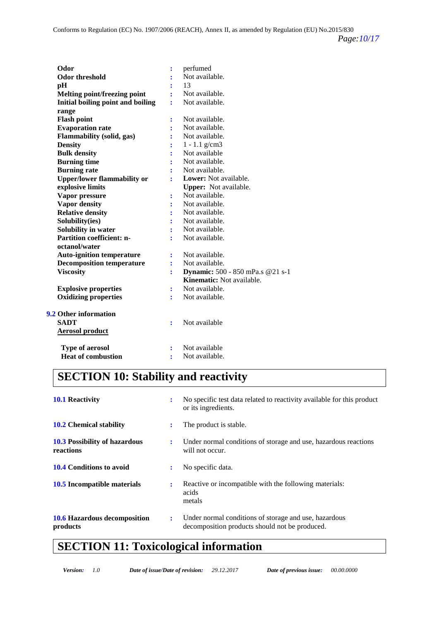| Odor                                                   |                     | perfumed                         |
|--------------------------------------------------------|---------------------|----------------------------------|
| <b>Odor threshold</b>                                  | $\ddot{\cdot}$      | Not available.                   |
|                                                        |                     | 13                               |
| pH                                                     |                     | Not available.                   |
| <b>Melting point/freezing point</b>                    |                     | Not available.                   |
| Initial boiling point and boiling                      | ÷                   |                                  |
| range<br><b>Flash point</b>                            |                     | Not available.                   |
| <b>Evaporation rate</b>                                |                     | Not available.                   |
| <b>Flammability (solid, gas)</b>                       |                     | Not available.                   |
| <b>Density</b>                                         |                     | $1 - 1.1$ g/cm3                  |
| <b>Bulk density</b>                                    |                     | Not available                    |
| <b>Burning time</b>                                    |                     | Not available.                   |
| <b>Burning rate</b>                                    |                     | Not available.                   |
|                                                        |                     | <b>Lower:</b> Not available.     |
| <b>Upper/lower flammability or</b><br>explosive limits | ÷                   | Upper: Not available.            |
|                                                        |                     | Not available.                   |
| Vapor pressure                                         | $\ddot{\cdot}$      | Not available.                   |
| <b>Vapor density</b>                                   | ÷                   | Not available.                   |
| <b>Relative density</b>                                |                     |                                  |
| Solubility(ies)                                        | ÷                   | Not available.                   |
| Solubility in water                                    |                     | Not available.                   |
| <b>Partition coefficient: n-</b><br>octanol/water      | ÷                   | Not available.                   |
| <b>Auto-ignition temperature</b>                       |                     | Not available.                   |
| <b>Decomposition temperature</b>                       | $\ddot{\cdot}$<br>÷ | Not available.                   |
| <b>Viscosity</b>                                       | ÷                   | Dynamic: 500 - 850 mPa.s @21 s-1 |
|                                                        |                     | Kinematic: Not available.        |
| <b>Explosive properties</b>                            |                     | Not available.                   |
| <b>Oxidizing properties</b>                            | $\ddot{\cdot}$<br>÷ | Not available.                   |
|                                                        |                     |                                  |
| <b>9.2 Other information</b>                           |                     |                                  |
| <b>SADT</b>                                            | ÷                   | Not available                    |
| <b>Aerosol product</b>                                 |                     |                                  |
| <b>Type of aerosol</b>                                 | $\ddot{\cdot}$      | Not available                    |
| <b>Heat of combustion</b>                              | ÷                   | Not available.                   |
|                                                        |                     |                                  |

# **SECTION 10: Stability and reactivity**

| <b>10.1 Reactivity</b>                            | ÷                    | No specific test data related to reactivity available for this product<br>or its ingredients.           |
|---------------------------------------------------|----------------------|---------------------------------------------------------------------------------------------------------|
| <b>10.2 Chemical stability</b>                    | ÷                    | The product is stable.                                                                                  |
| <b>10.3 Possibility of hazardous</b><br>reactions | $\ddot{\phantom{a}}$ | Under normal conditions of storage and use, hazardous reactions<br>will not occur.                      |
| <b>10.4 Conditions to avoid</b>                   | ÷                    | No specific data.                                                                                       |
| <b>10.5</b> Incompatible materials                | ÷                    | Reactive or incompatible with the following materials:<br>acids<br>metals                               |
| 10.6 Hazardous decomposition<br>products          | $\ddot{\phantom{a}}$ | Under normal conditions of storage and use, hazardous<br>decomposition products should not be produced. |

# **SECTION 11: Toxicological information**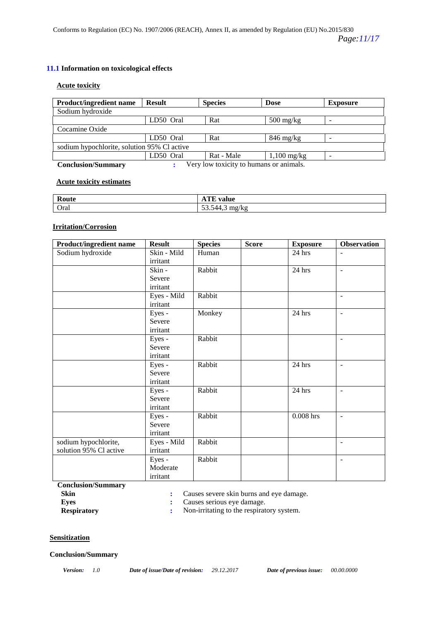### **11.1 Information on toxicological effects**

### **Acute toxicity**

| <b>Product/ingredient name</b>              | <b>Result</b> | <b>Species</b>                          | <b>Dose</b>                       | <b>Exposure</b>          |
|---------------------------------------------|---------------|-----------------------------------------|-----------------------------------|--------------------------|
| Sodium hydroxide                            |               |                                         |                                   |                          |
|                                             | LD50 Oral     | Rat                                     | $500 \frac{\text{mg}}{\text{kg}}$ |                          |
| Cocamine Oxide                              |               |                                         |                                   |                          |
|                                             | LD50 Oral     | Rat                                     | $846 \text{ mg/kg}$               |                          |
| sodium hypochlorite, solution 95% Cl active |               |                                         |                                   |                          |
|                                             | LD50 Oral     | Rat - Male                              | $1,100 \text{ mg/kg}$             | $\overline{\phantom{0}}$ |
| <b>Conclusion/Summary</b>                   |               | Very low toxicity to humans or animals. |                                   |                          |

### **Acute toxicity estimates**

| Route | <b>CONTRACT</b><br>ATE value             |
|-------|------------------------------------------|
| Oral  | $\mathbf{r}$<br>844<br>mg/kg<br>JJ.JTT.J |

### **Irritation/Corrosion**

| <b>Product/ingredient name</b> | <b>Result</b> | <b>Species</b> | <b>Score</b> | <b>Exposure</b> | <b>Observation</b>       |
|--------------------------------|---------------|----------------|--------------|-----------------|--------------------------|
| Sodium hydroxide               | Skin - Mild   | Human          |              | 24 hrs          | $\overline{\phantom{a}}$ |
|                                | irritant      |                |              |                 |                          |
|                                | Skin -        | Rabbit         |              | 24 hrs          | L.                       |
|                                | Severe        |                |              |                 |                          |
|                                | irritant      |                |              |                 |                          |
|                                | Eyes - Mild   | Rabbit         |              |                 | $\overline{\phantom{a}}$ |
|                                | irritant      |                |              |                 |                          |
|                                | Eyes -        | Monkey         |              | 24 hrs          | $\overline{a}$           |
|                                | Severe        |                |              |                 |                          |
|                                | irritant      |                |              |                 |                          |
|                                | Eyes -        | Rabbit         |              |                 |                          |
|                                | Severe        |                |              |                 |                          |
|                                | irritant      |                |              |                 |                          |
|                                | Eyes -        | Rabbit         |              | 24 hrs          |                          |
|                                | Severe        |                |              |                 |                          |
|                                | irritant      |                |              |                 |                          |
|                                | Eyes -        | Rabbit         |              | 24 hrs          |                          |
|                                | Severe        |                |              |                 |                          |
|                                | irritant      |                |              |                 |                          |
|                                | Eyes -        | Rabbit         |              | $0.008$ hrs     | $\overline{a}$           |
|                                | Severe        |                |              |                 |                          |
|                                | irritant      |                |              |                 |                          |
| sodium hypochlorite,           | Eyes - Mild   | Rabbit         |              |                 | $\overline{\phantom{0}}$ |
| solution 95% Cl active         | irritant      |                |              |                 |                          |
|                                | Eyes -        | Rabbit         |              |                 | $\overline{\phantom{a}}$ |
|                                | Moderate      |                |              |                 |                          |
|                                | irritant      |                |              |                 |                          |

**Conclusion/Summary**

**Skin :** Causes severe skin burns and eye damage.

- 
- **Eyes** : Causes serious eye damage.<br> **Respiratory** : Non-irritating to the respirat **:** Non-irritating to the respiratory system.

### **Sensitization**

#### **Conclusion/Summary**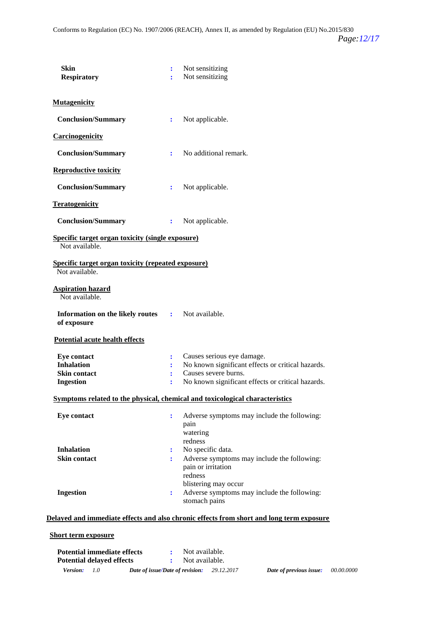| <b>Skin</b><br><b>Respiratory</b>                                                  | $\ddot{\cdot}$<br>÷  | Not sensitizing<br>Not sensitizing                                                                                                                           |
|------------------------------------------------------------------------------------|----------------------|--------------------------------------------------------------------------------------------------------------------------------------------------------------|
| <b>Mutagenicity</b>                                                                |                      |                                                                                                                                                              |
| <b>Conclusion/Summary</b>                                                          | $\ddot{\cdot}$       | Not applicable.                                                                                                                                              |
| <b>Carcinogenicity</b>                                                             |                      |                                                                                                                                                              |
| <b>Conclusion/Summary</b>                                                          | ÷                    | No additional remark.                                                                                                                                        |
| <b>Reproductive toxicity</b>                                                       |                      |                                                                                                                                                              |
| <b>Conclusion/Summary</b>                                                          | ÷                    | Not applicable.                                                                                                                                              |
| <b>Teratogenicity</b>                                                              |                      |                                                                                                                                                              |
| <b>Conclusion/Summary</b>                                                          | $\ddot{\cdot}$       | Not applicable.                                                                                                                                              |
| <b>Specific target organ toxicity (single exposure)</b><br>Not available.          |                      |                                                                                                                                                              |
| <b>Specific target organ toxicity (repeated exposure)</b><br>Not available.        |                      |                                                                                                                                                              |
| <b>Aspiration hazard</b><br>Not available.                                         |                      |                                                                                                                                                              |
| Information on the likely routes<br>of exposure                                    |                      | : Not available.                                                                                                                                             |
| Potential acute health effects                                                     |                      |                                                                                                                                                              |
| <b>Eye contact</b><br><b>Inhalation</b><br><b>Skin contact</b><br><b>Ingestion</b> | ÷<br>÷               | Causes serious eye damage.<br>No known significant effects or critical hazards.<br>Causes severe burns.<br>No known significant effects or critical hazards. |
|                                                                                    |                      | Symptoms related to the physical, chemical and toxicological characteristics                                                                                 |
| <b>Eye contact</b>                                                                 | $\ddot{\cdot}$       | Adverse symptoms may include the following:<br>pain<br>watering<br>redness                                                                                   |
| <b>Inhalation</b>                                                                  | $\ddot{\phantom{a}}$ | No specific data.                                                                                                                                            |
| <b>Skin contact</b>                                                                | ÷                    | Adverse symptoms may include the following:<br>pain or irritation<br>redness<br>blistering may occur                                                         |
| <b>Ingestion</b>                                                                   | ÷                    | Adverse symptoms may include the following:<br>stomach pains                                                                                                 |
|                                                                                    |                      | Delayed and immediate effects and also chronic effects from short and long term exposure                                                                     |
|                                                                                    |                      |                                                                                                                                                              |

### **Short term exposure**

| <b>Potential immediate effects</b> |                                 | Not available. |            |                         |                   |
|------------------------------------|---------------------------------|----------------|------------|-------------------------|-------------------|
| <b>Potential delayed effects</b>   |                                 | Not available. |            |                         |                   |
| <i>Version:</i><br>1.0             | Date of issue/Date of revision: |                | 29.12.2017 | Date of previous issue: | <i>00.00.0000</i> |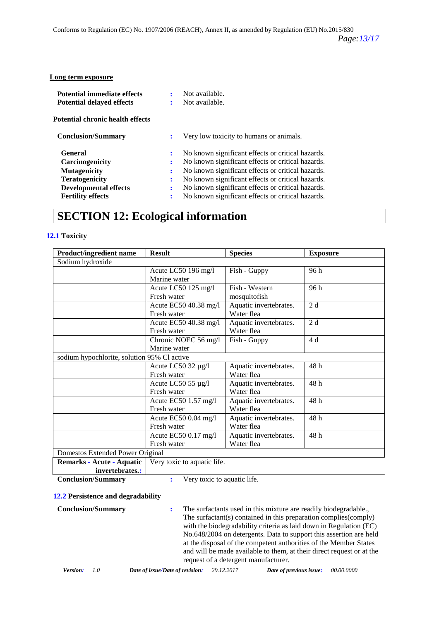#### **Long term exposure**

| <b>Potential immediate effects</b> |   | Not available.                                    |
|------------------------------------|---|---------------------------------------------------|
| <b>Potential delayed effects</b>   |   | Not available.                                    |
| Potential chronic health effects   |   |                                                   |
| <b>Conclusion/Summary</b>          | ÷ | Very low toxicity to humans or animals.           |
| <b>General</b>                     | ÷ | No known significant effects or critical hazards. |
| <b>Carcinogenicity</b>             | : | No known significant effects or critical hazards. |
| <b>Mutagenicity</b>                | ÷ | No known significant effects or critical hazards. |
| <b>Teratogenicity</b>              | ÷ | No known significant effects or critical hazards. |
| <b>Developmental effects</b>       | ÷ | No known significant effects or critical hazards. |
| <b>Fertility effects</b>           |   | No known significant effects or critical hazards. |

### **SECTION 12: Ecological information**

### **12.1 Toxicity**

| <b>Product/ingredient name</b>              | <b>Result</b>               | <b>Species</b>         | <b>Exposure</b> |
|---------------------------------------------|-----------------------------|------------------------|-----------------|
| Sodium hydroxide                            |                             |                        |                 |
|                                             | Acute LC50 196 mg/l         | Fish - Guppy           | 96 h            |
|                                             | Marine water                |                        |                 |
|                                             | Acute LC50 125 mg/l         | Fish - Western         | 96 h            |
|                                             | Fresh water                 | mosquitofish           |                 |
|                                             | Acute EC50 40.38 mg/l       | Aquatic invertebrates. | 2d              |
|                                             | Fresh water                 | Water flea             |                 |
|                                             | Acute EC50 40.38 mg/l       | Aquatic invertebrates. | 2d              |
|                                             | Fresh water                 | Water flea             |                 |
|                                             | Chronic NOEC 56 mg/l        | Fish - Guppy           | 4 d             |
|                                             | Marine water                |                        |                 |
| sodium hypochlorite, solution 95% Cl active |                             |                        |                 |
|                                             | Acute LC50 32 µg/l          | Aquatic invertebrates. | 48h             |
|                                             | Fresh water                 | Water flea             |                 |
|                                             | Acute LC50 55 µg/l          | Aquatic invertebrates. | 48h             |
|                                             | Fresh water                 | Water flea             |                 |
|                                             | Acute EC50 1.57 mg/l        | Aquatic invertebrates. | 48 h            |
|                                             | Fresh water                 | Water flea             |                 |
|                                             | Acute EC50 0.04 mg/l        | Aquatic invertebrates. | 48h             |
|                                             | Fresh water                 | Water flea             |                 |
|                                             | Acute EC50 0.17 mg/l        | Aquatic invertebrates. | 48 h            |
|                                             | Fresh water                 | Water flea             |                 |
| Domestos Extended Power Original            |                             |                        |                 |
| Remarks - Acute - Aquatic                   | Very toxic to aquatic life. |                        |                 |
| invertebrates.:                             |                             |                        |                 |

**Conclusion/Summary :** Very toxic to aquatic life.

### **12.2 Persistence and degradability**

**Conclusion/Summary :** The surfactants used in this mixture are readily biodegradable., The surfactant(s) contained in this preparation complies(comply) with the biodegradability criteria as laid down in Regulation (EC) No.648/2004 on detergents. Data to support this assertion are held at the disposal of the competent authorities of the Member States and will be made available to them, at their direct request or at the request of a detergent manufacturer.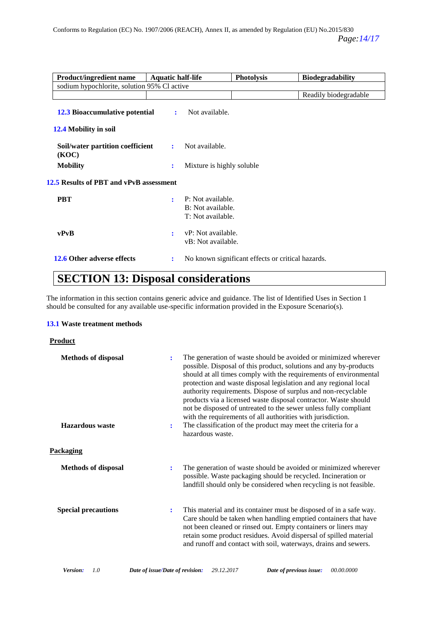| <b>Product/ingredient name</b>              | <b>Aquatic half-life</b>                                                      | <b>Photolysis</b>                                 | <b>Biodegradability</b> |
|---------------------------------------------|-------------------------------------------------------------------------------|---------------------------------------------------|-------------------------|
| sodium hypochlorite, solution 95% Cl active |                                                                               |                                                   |                         |
|                                             |                                                                               |                                                   | Readily biodegradable   |
| <b>12.3 Bioaccumulative potential</b>       | Not available.<br>$\ddot{\cdot}$                                              |                                                   |                         |
| 12.4 Mobility in soil                       |                                                                               |                                                   |                         |
| Soil/water partition coefficient<br>(KOC)   | Not available.<br>$\mathbf{r}$                                                |                                                   |                         |
| <b>Mobility</b>                             | ÷                                                                             | Mixture is highly soluble                         |                         |
| 12.5 Results of PBT and vPvB assessment     |                                                                               |                                                   |                         |
| <b>PBT</b>                                  | P: Not available.<br>$\ddot{\cdot}$<br>B: Not available.<br>T: Not available. |                                                   |                         |
| vPvB                                        | vP: Not available.<br>÷<br>vB: Not available.                                 |                                                   |                         |
| 12.6 Other adverse effects                  | ÷                                                                             | No known significant effects or critical hazards. |                         |

# **SECTION 13: Disposal considerations**

The information in this section contains generic advice and guidance. The list of Identified Uses in Section 1 should be consulted for any available use-specific information provided in the Exposure Scenario(s).

### **13.1 Waste treatment methods**

### **Product**

| <b>Methods of disposal</b><br><b>Hazardous</b> waste | $\ddot{\cdot}$<br>÷ | The generation of waste should be avoided or minimized wherever<br>possible. Disposal of this product, solutions and any by-products<br>should at all times comply with the requirements of environmental<br>protection and waste disposal legislation and any regional local<br>authority requirements. Dispose of surplus and non-recyclable<br>products via a licensed waste disposal contractor. Waste should<br>not be disposed of untreated to the sewer unless fully compliant<br>with the requirements of all authorities with jurisdiction.<br>The classification of the product may meet the criteria for a<br>hazardous waste. |
|------------------------------------------------------|---------------------|-------------------------------------------------------------------------------------------------------------------------------------------------------------------------------------------------------------------------------------------------------------------------------------------------------------------------------------------------------------------------------------------------------------------------------------------------------------------------------------------------------------------------------------------------------------------------------------------------------------------------------------------|
| <b>Packaging</b>                                     |                     |                                                                                                                                                                                                                                                                                                                                                                                                                                                                                                                                                                                                                                           |
| <b>Methods of disposal</b>                           | $\ddot{\cdot}$      | The generation of waste should be avoided or minimized wherever<br>possible. Waste packaging should be recycled. Incineration or<br>landfill should only be considered when recycling is not feasible.                                                                                                                                                                                                                                                                                                                                                                                                                                    |
| <b>Special precautions</b>                           | $\ddot{\cdot}$      | This material and its container must be disposed of in a safe way.<br>Care should be taken when handling emptied containers that have<br>not been cleaned or rinsed out. Empty containers or liners may<br>retain some product residues. Avoid dispersal of spilled material<br>and runoff and contact with soil, waterways, drains and sewers.                                                                                                                                                                                                                                                                                           |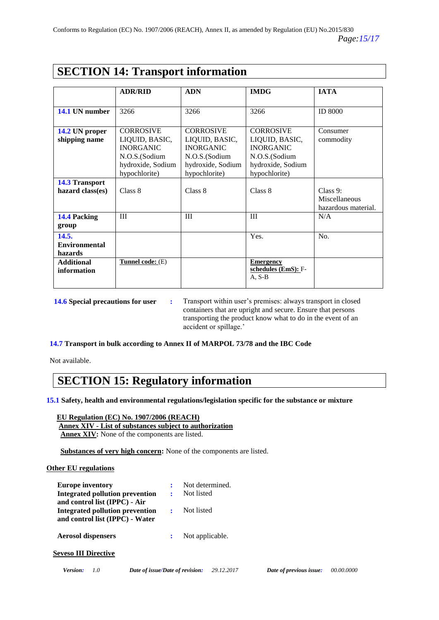|  | <b>SECTION 14: Transport information</b> |
|--|------------------------------------------|
|--|------------------------------------------|

|                      | <b>ADR/RID</b>     | <b>ADN</b>        | <b>IMDG</b>         | <b>IATA</b>         |
|----------------------|--------------------|-------------------|---------------------|---------------------|
|                      |                    |                   |                     |                     |
| 14.1 UN number       | 3266               | 3266              | 3266                | <b>ID 8000</b>      |
|                      |                    |                   |                     |                     |
| 14.2 UN proper       | <b>CORROSIVE</b>   | <b>CORROSIVE</b>  | <b>CORROSIVE</b>    | Consumer            |
|                      |                    |                   |                     |                     |
| shipping name        | LIQUID, BASIC,     | LIQUID, BASIC,    | LIQUID, BASIC,      | commodity           |
|                      | <b>INORGANIC</b>   | <b>INORGANIC</b>  | <b>INORGANIC</b>    |                     |
|                      | N.O.S.(Sodium      | N.O.S.(Sodium     | N.O.S.(Sodium       |                     |
|                      | hydroxide, Sodium  | hydroxide, Sodium | hydroxide, Sodium   |                     |
|                      | hypochlorite)      | hypochlorite)     | hypochlorite)       |                     |
|                      |                    |                   |                     |                     |
| 14.3 Transport       |                    |                   |                     |                     |
| hazard class(es)     | Class 8            | Class 8           | Class 8             | Class 9:            |
|                      |                    |                   |                     | Miscellaneous       |
|                      |                    |                   |                     | hazardous material. |
| 14.4 Packing         | III                | III               | III                 | N/A                 |
|                      |                    |                   |                     |                     |
| group                |                    |                   |                     |                     |
| 14.5.                |                    |                   | Yes.                | No.                 |
| <b>Environmental</b> |                    |                   |                     |                     |
| hazards              |                    |                   |                     |                     |
| <b>Additional</b>    | Tunnel code: $(E)$ |                   | <b>Emergency</b>    |                     |
| information          |                    |                   | schedules (EmS): F- |                     |
|                      |                    |                   | $A, S-B$            |                     |
|                      |                    |                   |                     |                     |
|                      |                    |                   |                     |                     |

**14.6 Special precautions for user :** Transport within user's premises: always transport in closed containers that are upright and secure. Ensure that persons transporting the product know what to do in the event of an accident or spillage.'

**14.7 Transport in bulk according to Annex II of MARPOL 73/78 and the IBC Code**

Not available.

### **SECTION 15: Regulatory information**

**15.1 Safety, health and environmental regulations/legislation specific for the substance or mixture**

 **EU Regulation (EC) No. 1907/2006 (REACH) Annex XIV - List of substances subject to authorization Annex XIV:** None of the components are listed.

 **Substances of very high concern:** None of the components are listed.

### **Other EU regulations**

| <b>Europe inventory</b>         | ÷ | Not determined. |
|---------------------------------|---|-----------------|
| Integrated pollution prevention | ÷ | Not listed      |
| and control list (IPPC) - Air   |   |                 |
| Integrated pollution prevention |   | Not listed      |
| and control list (IPPC) - Water |   |                 |
| <b>Aerosol dispensers</b>       | ÷ | Not applicable. |
|                                 |   |                 |
| <b>Seveso III Directive</b>     |   |                 |
|                                 |   |                 |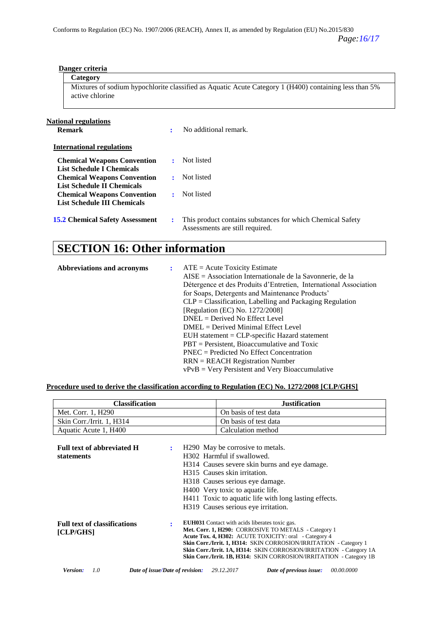| active chlorine                                                          |                | Mixtures of sodium hypochlorite classified as Aquatic Acute Category 1 (H400) containing less than 5% |
|--------------------------------------------------------------------------|----------------|-------------------------------------------------------------------------------------------------------|
| National regulations<br><b>Remark</b>                                    | ÷              | No additional remark.                                                                                 |
| <b>International regulations</b>                                         |                |                                                                                                       |
| <b>Chemical Weapons Convention</b><br>List Schedule I Chemicals          | $\mathbf{r}$   | Not listed                                                                                            |
| <b>Chemical Weapons Convention</b><br><b>List Schedule II Chemicals</b>  | $\ddot{\cdot}$ | Not listed                                                                                            |
| <b>Chemical Weapons Convention</b><br><b>List Schedule III Chemicals</b> | ÷              | Not listed                                                                                            |
| <b>15.2 Chemical Safety Assessment</b>                                   | $\ddot{\cdot}$ | This product contains substances for which Chemical Safety<br>Assessments are still required.         |

# **SECTION 16: Other information**

 **Danger criteria Category**

| Abbreviations and acronyms | $\mathbf{r}$ | $ATE = Acute Toxicity Estimate$<br>$AISE = Association Internationale$ de la Savonnerie, de la<br>Détergence et des Produits d'Entretien, International Association<br>for Soaps, Detergents and Maintenance Products'<br>$CLP = Classification, Labelling and Packaging Regulation$<br>[Regulation (EC) No. 1272/2008]<br>$DNEL = Derived No Effect Level$<br>$DMEL = Derived \text{ Minimal Effect Level}$<br>$EUH$ statement = $CLP$ -specific Hazard statement<br>$PBT =$ Persistent, Bioaccumulative and Toxic |
|----------------------------|--------------|---------------------------------------------------------------------------------------------------------------------------------------------------------------------------------------------------------------------------------------------------------------------------------------------------------------------------------------------------------------------------------------------------------------------------------------------------------------------------------------------------------------------|
|                            |              | $PNEC = Predicted No Effect Concentration$                                                                                                                                                                                                                                                                                                                                                                                                                                                                          |
|                            |              | $RRN = REACH$ Registration Number<br>$vPvB = Very$ Persistent and Very Bioaccumulative                                                                                                                                                                                                                                                                                                                                                                                                                              |

### **Procedure used to derive the classification according to Regulation (EC) No. 1272/2008 [CLP/GHS]**

| <b>Classification</b>                                | <b>Justification</b>                                                                                                                                                                                                                                                                                                                                                                      |
|------------------------------------------------------|-------------------------------------------------------------------------------------------------------------------------------------------------------------------------------------------------------------------------------------------------------------------------------------------------------------------------------------------------------------------------------------------|
| Met. Corr. 1, H290                                   | On basis of test data                                                                                                                                                                                                                                                                                                                                                                     |
| Skin Corr./Irrit. 1, H314                            | On basis of test data                                                                                                                                                                                                                                                                                                                                                                     |
| Aquatic Acute 1, H400                                | Calculation method                                                                                                                                                                                                                                                                                                                                                                        |
| Full text of abbreviated H<br>÷<br><b>statements</b> | H <sub>290</sub> May be corrosive to metals.<br>H302. Harmful if swallowed.<br>H314 Causes severe skin burns and eye damage.<br>H315 Causes skin irritation.<br>H318 Causes serious eye damage.<br>H400 Very toxic to aquatic life.<br>H411 Toxic to aquatic life with long lasting effects.<br>H319 Causes serious eye irritation.                                                       |
| <b>Full text of classifications</b><br>[CLP/GHS]     | <b>EUH031</b> Contact with acids liberates toxic gas.<br>Met. Corr. 1, H290: CORROSIVE TO METALS - Category 1<br>Acute Tox. 4, H302: ACUTE TOXICITY: oral - Category 4<br>Skin Corr./Irrit. 1, H314: SKIN CORROSION/IRRITATION - Category 1<br>Skin Corr./Irrit. 1A, H314: SKIN CORROSION/IRRITATION - Category 1A<br>Skin Corr./Irrit. 1B, H314: SKIN CORROSION/IRRITATION - Category 1B |
| Version:<br>10<br>Date of issue/Date of revision:    | 29.12.2017<br>00.00.0000<br>Date of previous issue:                                                                                                                                                                                                                                                                                                                                       |